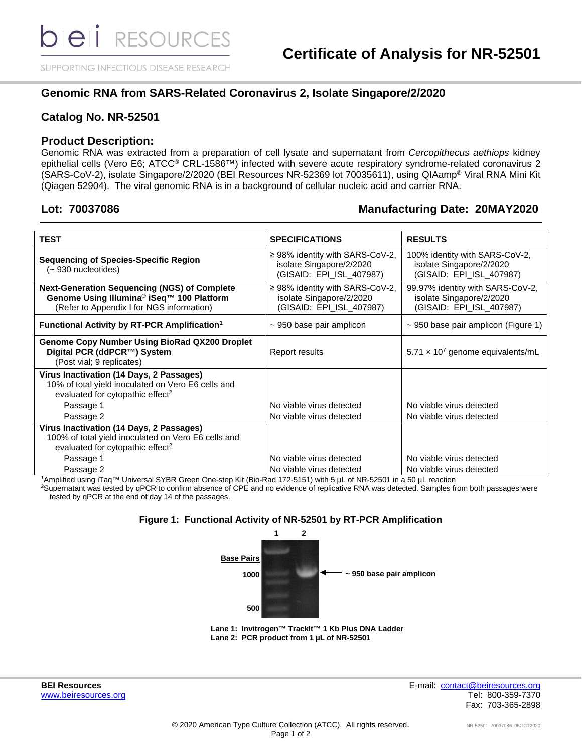SUPPORTING INFECTIOUS DISEASE RESEARCH

### **Genomic RNA from SARS-Related Coronavirus 2, Isolate Singapore/2/2020**

#### **Catalog No. NR-52501**

#### **Product Description:**

Genomic RNA was extracted from a preparation of cell lysate and supernatant from *Cercopithecus aethiops* kidney epithelial cells (Vero E6; ATCC® CRL-1586™) infected with severe acute respiratory syndrome-related coronavirus 2 (SARS-CoV-2), isolate Singapore/2/2020 (BEI Resources NR-52369 lot 70035611), using QIAamp® Viral RNA Mini Kit (Qiagen 52904). The viral genomic RNA is in a background of cellular nucleic acid and carrier RNA.

#### **Lot: 70037086 Manufacturing Date: 20MAY2020**

| <b>TEST</b>                                                                                                                                               | <b>SPECIFICATIONS</b>                                                                        | <b>RESULTS</b>                                                                           |  |  |
|-----------------------------------------------------------------------------------------------------------------------------------------------------------|----------------------------------------------------------------------------------------------|------------------------------------------------------------------------------------------|--|--|
| <b>Sequencing of Species-Specific Region</b><br>(~ 930 nucleotides)                                                                                       | $\geq$ 98% identity with SARS-CoV-2,<br>isolate Singapore/2/2020<br>(GISAID: EPI_ISL_407987) | 100% identity with SARS-CoV-2,<br>isolate Singapore/2/2020<br>(GISAID: EPI_ISL_407987)   |  |  |
| <b>Next-Generation Sequencing (NGS) of Complete</b><br>Genome Using Illumina <sup>®</sup> iSeq™ 100 Platform<br>(Refer to Appendix I for NGS information) | ≥ 98% identity with SARS-CoV-2,<br>isolate Singapore/2/2020<br>(GISAID: EPI_ISL_407987)      | 99.97% identity with SARS-CoV-2,<br>isolate Singapore/2/2020<br>(GISAID: EPI_ISL_407987) |  |  |
| Functional Activity by RT-PCR Amplification <sup>1</sup>                                                                                                  | $\sim$ 950 base pair amplicon                                                                | $\sim$ 950 base pair amplicon (Figure 1)                                                 |  |  |
| <b>Genome Copy Number Using BioRad QX200 Droplet</b><br>Digital PCR (ddPCR™) System<br>(Post vial; 9 replicates)                                          | Report results                                                                               | $5.71 \times 10^7$ genome equivalents/mL                                                 |  |  |
| Virus Inactivation (14 Days, 2 Passages)<br>10% of total yield inoculated on Vero E6 cells and<br>evaluated for cytopathic effect <sup>2</sup>            |                                                                                              |                                                                                          |  |  |
| Passage 1                                                                                                                                                 | No viable virus detected                                                                     | No viable virus detected                                                                 |  |  |
| Passage 2                                                                                                                                                 | No viable virus detected                                                                     | No viable virus detected                                                                 |  |  |
| Virus Inactivation (14 Days, 2 Passages)<br>100% of total yield inoculated on Vero E6 cells and<br>evaluated for cytopathic effect <sup>2</sup>           |                                                                                              |                                                                                          |  |  |
| Passage 1                                                                                                                                                 | No viable virus detected                                                                     | No viable virus detected                                                                 |  |  |
| Passage 2                                                                                                                                                 | No viable virus detected                                                                     | No viable virus detected                                                                 |  |  |

1 Amplified using iTaq™ Universal SYBR Green One-step Kit (Bio-Rad 172-5151) with 5 µL of NR-52501 in a 50 µL reaction

2 Supernatant was tested by qPCR to confirm absence of CPE and no evidence of replicative RNA was detected. Samples from both passages were tested by qPCR at the end of day 14 of the passages.

#### **Figure 1: Functional Activity of NR-52501 by RT-PCR Amplification**